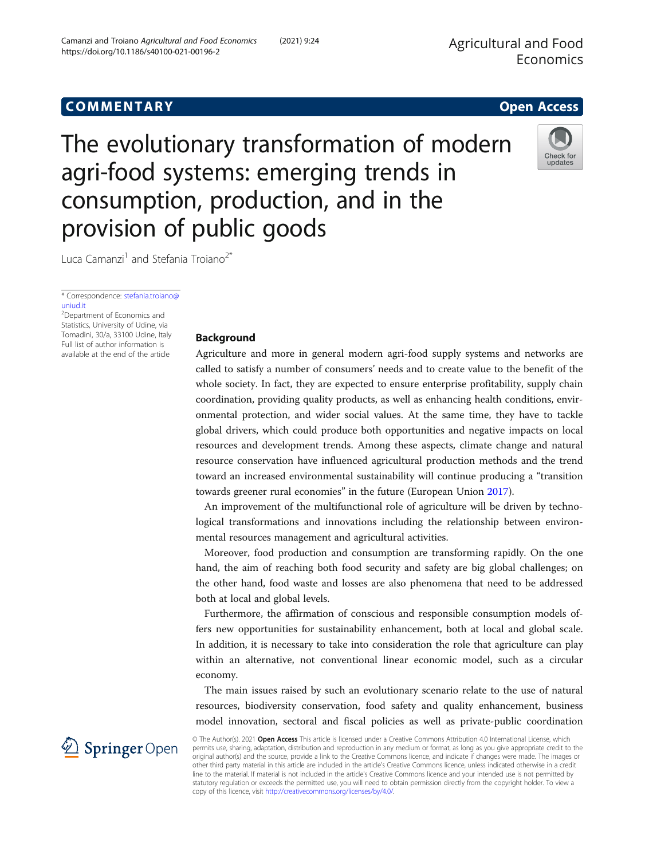# COMM EN TARY Open Access

The evolutionary transformation of modern agri-food systems: emerging trends in consumption, production, and in the provision of public goods

Luca Camanzi<sup>1</sup> and Stefania Troiano<sup>2\*</sup>

\* Correspondence: [stefania.troiano@](mailto:stefania.troiano@uniud.it) [uniud.it](mailto:stefania.troiano@uniud.it)

<sup>2</sup>Department of Economics and Statistics, University of Udine, via Tomadini, 30/a, 33100 Udine, Italy Full list of author information is available at the end of the article

## Background

Agriculture and more in general modern agri-food supply systems and networks are called to satisfy a number of consumers' needs and to create value to the benefit of the whole society. In fact, they are expected to ensure enterprise profitability, supply chain coordination, providing quality products, as well as enhancing health conditions, environmental protection, and wider social values. At the same time, they have to tackle global drivers, which could produce both opportunities and negative impacts on local resources and development trends. Among these aspects, climate change and natural resource conservation have influenced agricultural production methods and the trend toward an increased environmental sustainability will continue producing a "transition towards greener rural economies" in the future (European Union [2017\)](#page-4-0).

An improvement of the multifunctional role of agriculture will be driven by technological transformations and innovations including the relationship between environmental resources management and agricultural activities.

Moreover, food production and consumption are transforming rapidly. On the one hand, the aim of reaching both food security and safety are big global challenges; on the other hand, food waste and losses are also phenomena that need to be addressed both at local and global levels.

Furthermore, the affirmation of conscious and responsible consumption models offers new opportunities for sustainability enhancement, both at local and global scale. In addition, it is necessary to take into consideration the role that agriculture can play within an alternative, not conventional linear economic model, such as a circular economy.

The main issues raised by such an evolutionary scenario relate to the use of natural resources, biodiversity conservation, food safety and quality enhancement, business model innovation, sectoral and fiscal policies as well as private-public coordination

© The Author(s). 2021 Open Access This article is licensed under a Creative Commons Attribution 4.0 International License, which permits use, sharing, adaptation, distribution and reproduction in any medium or format, as long as you give appropriate credit to the original author(s) and the source, provide a link to the Creative Commons licence, and indicate if changes were made. The images or other third party material in this article are included in the article's Creative Commons licence, unless indicated otherwise in a credit line to the material. If material is not included in the article's Creative Commons licence and your intended use is not permitted by statutory regulation or exceeds the permitted use, you will need to obtain permission directly from the copyright holder. To view a copy of this licence, visit <http://creativecommons.org/licenses/by/4.0/>.

 $\mathscr{L}$  Springer Open



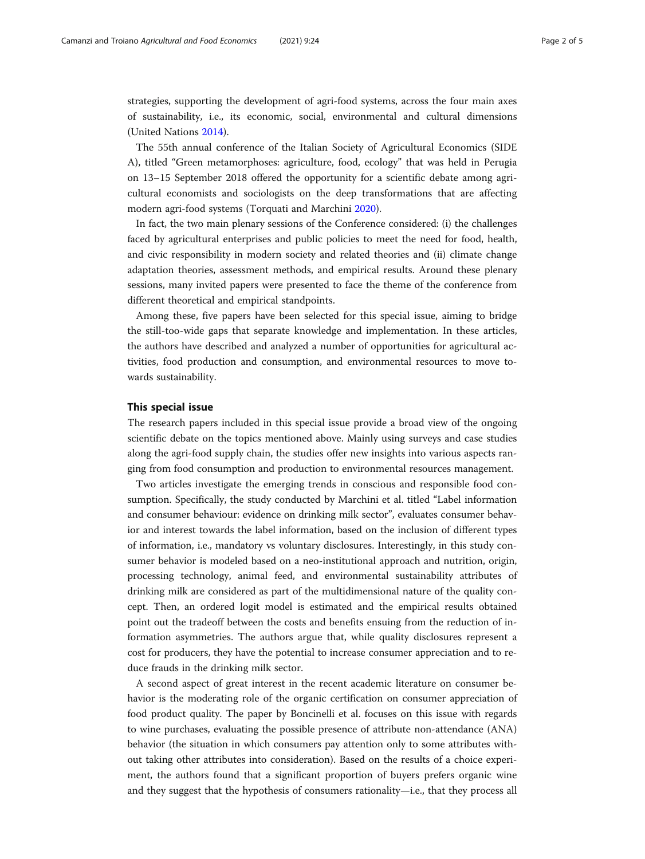strategies, supporting the development of agri-food systems, across the four main axes of sustainability, i.e., its economic, social, environmental and cultural dimensions (United Nations [2014](#page-4-0)).

The 55th annual conference of the Italian Society of Agricultural Economics (SIDE A), titled "Green metamorphoses: agriculture, food, ecology" that was held in Perugia on 13–15 September 2018 offered the opportunity for a scientific debate among agricultural economists and sociologists on the deep transformations that are affecting modern agri-food systems (Torquati and Marchini [2020](#page-4-0)).

In fact, the two main plenary sessions of the Conference considered: (i) the challenges faced by agricultural enterprises and public policies to meet the need for food, health, and civic responsibility in modern society and related theories and (ii) climate change adaptation theories, assessment methods, and empirical results. Around these plenary sessions, many invited papers were presented to face the theme of the conference from different theoretical and empirical standpoints.

Among these, five papers have been selected for this special issue, aiming to bridge the still-too-wide gaps that separate knowledge and implementation. In these articles, the authors have described and analyzed a number of opportunities for agricultural activities, food production and consumption, and environmental resources to move towards sustainability.

## This special issue

The research papers included in this special issue provide a broad view of the ongoing scientific debate on the topics mentioned above. Mainly using surveys and case studies along the agri-food supply chain, the studies offer new insights into various aspects ranging from food consumption and production to environmental resources management.

Two articles investigate the emerging trends in conscious and responsible food consumption. Specifically, the study conducted by Marchini et al. titled "Label information and consumer behaviour: evidence on drinking milk sector", evaluates consumer behavior and interest towards the label information, based on the inclusion of different types of information, i.e., mandatory vs voluntary disclosures. Interestingly, in this study consumer behavior is modeled based on a neo-institutional approach and nutrition, origin, processing technology, animal feed, and environmental sustainability attributes of drinking milk are considered as part of the multidimensional nature of the quality concept. Then, an ordered logit model is estimated and the empirical results obtained point out the tradeoff between the costs and benefits ensuing from the reduction of information asymmetries. The authors argue that, while quality disclosures represent a cost for producers, they have the potential to increase consumer appreciation and to reduce frauds in the drinking milk sector.

A second aspect of great interest in the recent academic literature on consumer behavior is the moderating role of the organic certification on consumer appreciation of food product quality. The paper by Boncinelli et al. focuses on this issue with regards to wine purchases, evaluating the possible presence of attribute non-attendance (ANA) behavior (the situation in which consumers pay attention only to some attributes without taking other attributes into consideration). Based on the results of a choice experiment, the authors found that a significant proportion of buyers prefers organic wine and they suggest that the hypothesis of consumers rationality—i.e., that they process all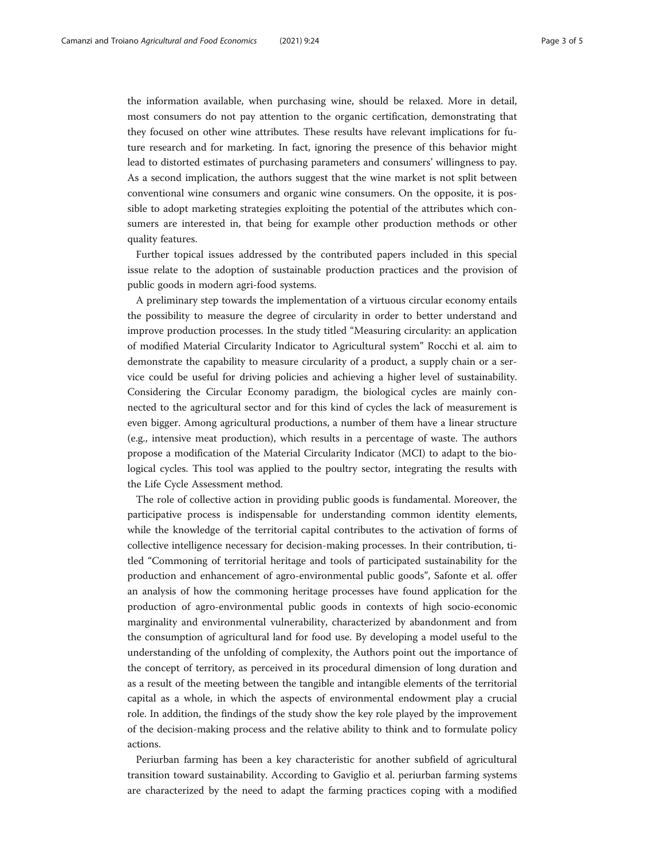the information available, when purchasing wine, should be relaxed. More in detail, most consumers do not pay attention to the organic certification, demonstrating that they focused on other wine attributes. These results have relevant implications for future research and for marketing. In fact, ignoring the presence of this behavior might lead to distorted estimates of purchasing parameters and consumers' willingness to pay. As a second implication, the authors suggest that the wine market is not split between conventional wine consumers and organic wine consumers. On the opposite, it is possible to adopt marketing strategies exploiting the potential of the attributes which consumers are interested in, that being for example other production methods or other quality features.

Further topical issues addressed by the contributed papers included in this special issue relate to the adoption of sustainable production practices and the provision of public goods in modern agri-food systems.

A preliminary step towards the implementation of a virtuous circular economy entails the possibility to measure the degree of circularity in order to better understand and improve production processes. In the study titled "Measuring circularity: an application of modified Material Circularity Indicator to Agricultural system" Rocchi et al. aim to demonstrate the capability to measure circularity of a product, a supply chain or a service could be useful for driving policies and achieving a higher level of sustainability. Considering the Circular Economy paradigm, the biological cycles are mainly connected to the agricultural sector and for this kind of cycles the lack of measurement is even bigger. Among agricultural productions, a number of them have a linear structure (e.g., intensive meat production), which results in a percentage of waste. The authors propose a modification of the Material Circularity Indicator (MCI) to adapt to the biological cycles. This tool was applied to the poultry sector, integrating the results with the Life Cycle Assessment method.

The role of collective action in providing public goods is fundamental. Moreover, the participative process is indispensable for understanding common identity elements, while the knowledge of the territorial capital contributes to the activation of forms of collective intelligence necessary for decision-making processes. In their contribution, titled "Commoning of territorial heritage and tools of participated sustainability for the production and enhancement of agro-environmental public goods", Safonte et al. offer an analysis of how the commoning heritage processes have found application for the production of agro-environmental public goods in contexts of high socio-economic marginality and environmental vulnerability, characterized by abandonment and from the consumption of agricultural land for food use. By developing a model useful to the understanding of the unfolding of complexity, the Authors point out the importance of the concept of territory, as perceived in its procedural dimension of long duration and as a result of the meeting between the tangible and intangible elements of the territorial capital as a whole, in which the aspects of environmental endowment play a crucial role. In addition, the findings of the study show the key role played by the improvement of the decision-making process and the relative ability to think and to formulate policy actions.

Periurban farming has been a key characteristic for another subfield of agricultural transition toward sustainability. According to Gaviglio et al. periurban farming systems are characterized by the need to adapt the farming practices coping with a modified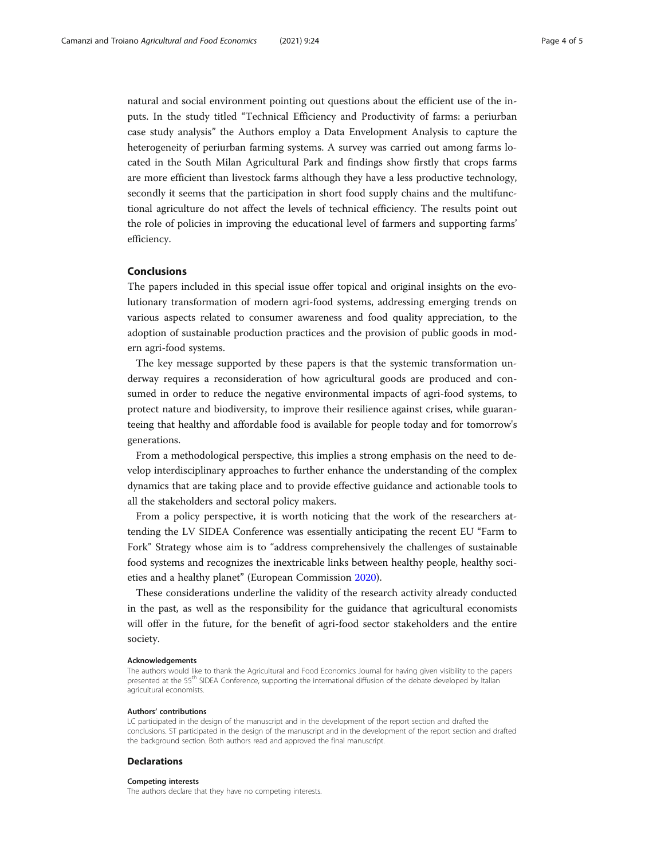natural and social environment pointing out questions about the efficient use of the inputs. In the study titled "Technical Efficiency and Productivity of farms: a periurban case study analysis" the Authors employ a Data Envelopment Analysis to capture the heterogeneity of periurban farming systems. A survey was carried out among farms located in the South Milan Agricultural Park and findings show firstly that crops farms are more efficient than livestock farms although they have a less productive technology, secondly it seems that the participation in short food supply chains and the multifunctional agriculture do not affect the levels of technical efficiency. The results point out the role of policies in improving the educational level of farmers and supporting farms' efficiency.

### Conclusions

The papers included in this special issue offer topical and original insights on the evolutionary transformation of modern agri-food systems, addressing emerging trends on various aspects related to consumer awareness and food quality appreciation, to the adoption of sustainable production practices and the provision of public goods in modern agri-food systems.

The key message supported by these papers is that the systemic transformation underway requires a reconsideration of how agricultural goods are produced and consumed in order to reduce the negative environmental impacts of agri-food systems, to protect nature and biodiversity, to improve their resilience against crises, while guaranteeing that healthy and affordable food is available for people today and for tomorrow's generations.

From a methodological perspective, this implies a strong emphasis on the need to develop interdisciplinary approaches to further enhance the understanding of the complex dynamics that are taking place and to provide effective guidance and actionable tools to all the stakeholders and sectoral policy makers.

From a policy perspective, it is worth noticing that the work of the researchers attending the LV SIDEA Conference was essentially anticipating the recent EU "Farm to Fork" Strategy whose aim is to "address comprehensively the challenges of sustainable food systems and recognizes the inextricable links between healthy people, healthy societies and a healthy planet" (European Commission [2020](#page-4-0)).

These considerations underline the validity of the research activity already conducted in the past, as well as the responsibility for the guidance that agricultural economists will offer in the future, for the benefit of agri-food sector stakeholders and the entire society.

#### Acknowledgements

The authors would like to thank the Agricultural and Food Economics Journal for having given visibility to the papers presented at the 55<sup>th</sup> SIDEA Conference, supporting the international diffusion of the debate developed by Italian agricultural economists.

#### Authors' contributions

LC participated in the design of the manuscript and in the development of the report section and drafted the conclusions. ST participated in the design of the manuscript and in the development of the report section and drafted the background section. Both authors read and approved the final manuscript.

## **Declarations**

#### Competing interests

The authors declare that they have no competing interests.